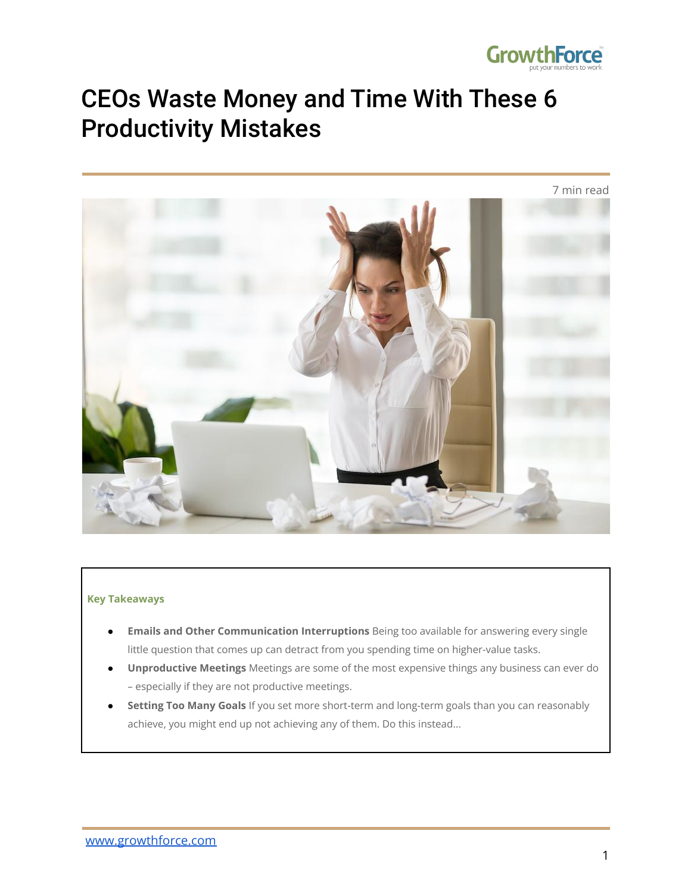

# CEOs Waste Money and Time With These 6 Productivity Mistakes



#### **Key Takeaways**

- **Emails and Other Communication Interruptions** Being too available for answering every single little question that comes up can detract from you spending time on higher-value tasks.
- **Unproductive Meetings** Meetings are some of the most expensive things any business can ever do – especially if they are not productive meetings.
- **Setting Too Many Goals** If you set more short-term and long-term goals than you can reasonably achieve, you might end up not achieving any of them. Do this instead...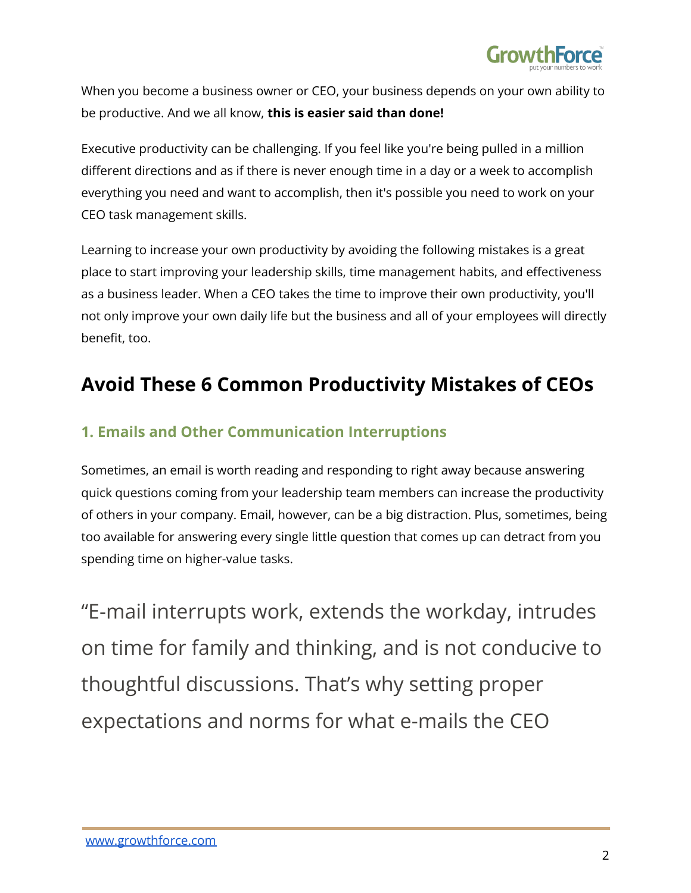

When you become a business owner or CEO, your business depends on your own ability to be productive. And we all know, **this is easier said than done!**

Executive productivity can be challenging. If you feel like you're being pulled in a million different directions and as if there is never enough time in a day or a week to accomplish everything you need and want to accomplish, then it's possible you need to work on your CEO task management skills.

Learning to increase your own productivity by avoiding the following mistakes is a great place to start improving your leadership skills, time management habits, and effectiveness as a business leader. When a CEO takes the time to improve their own productivity, you'll not only improve your own daily life but the business and all of your employees will directly benefit, too.

### **Avoid These 6 Common Productivity Mistakes of CEOs**

#### **1. Emails and Other Communication Interruptions**

Sometimes, an email is worth reading and responding to right away because answering quick questions coming from your leadership team members can increase the productivity of others in your company. Email, however, can be a big distraction. Plus, sometimes, being too available for answering every single little question that comes up can detract from you spending time on higher-value tasks.

"E-mail interrupts work, extends the workday, intrudes on time for family and thinking, and is not conducive to thoughtful discussions. That's why setting proper expectations and norms for what e-mails the CEO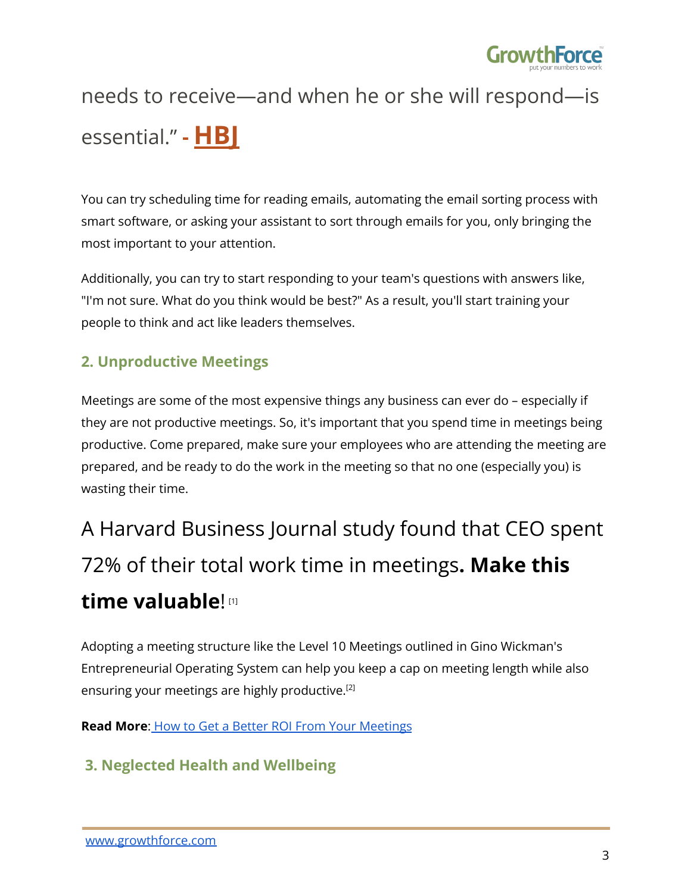

# needs to receive—and when he or she will respond—is essential." **- [HBJ](https://hbr.org/2018/07/how-ceos-manage-time)**

You can try scheduling time for reading emails, automating the email sorting process with smart software, or asking your assistant to sort through emails for you, only bringing the most important to your attention.

Additionally, you can try to start responding to your team's questions with answers like, "I'm not sure. What do you think would be best?" As a result, you'll start training your people to think and act like leaders themselves.

### **2. Unproductive Meetings**

Meetings are some of the most expensive things any business can ever do – especially if they are not productive meetings. So, it's important that you spend time in meetings being productive. Come prepared, make sure your employees who are attending the meeting are prepared, and be ready to do the work in the meeting so that no one (especially you) is wasting their time.

# A Harvard Business Journal study found that CEO spent 72% of their total work time in meetings**. Make this time valuable**! [1]

Adopting a meeting structure like the Level 10 Meetings outlined in Gino Wickman's Entrepreneurial Operating System can help you keep a cap on meeting length while also ensuring your meetings are highly productive. [2]

**Read More**: How to Get a Better ROI From Your [Meetings](https://www.growthforce.com/blog/better-roi-meetings-business)

### **3. Neglected Health and Wellbeing**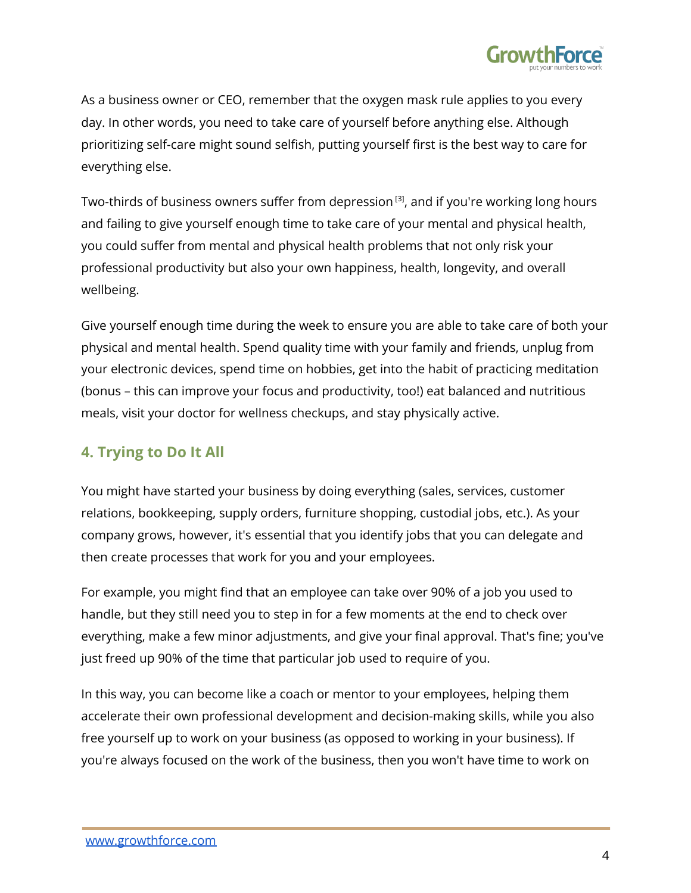

As a business owner or CEO, remember that the oxygen mask rule applies to you every day. In other words, you need to take care of yourself before anything else. Although prioritizing self-care might sound selfish, putting yourself first is the best way to care for everything else.

Two-thirds of business owners suffer from depression  $^{[3]}$ , and if you're working long hours and failing to give yourself enough time to take care of your mental and physical health, you could suffer from mental and physical health problems that not only risk your professional productivity but also your own happiness, health, longevity, and overall wellbeing.

Give yourself enough time during the week to ensure you are able to take care of both your physical and mental health. Spend quality time with your family and friends, unplug from your electronic devices, spend time on hobbies, get into the habit of practicing meditation (bonus – this can improve your focus and productivity, too!) eat balanced and nutritious meals, visit your doctor for wellness checkups, and stay physically active.

#### **4. Trying to Do It All**

You might have started your business by doing everything (sales, services, customer relations, bookkeeping, supply orders, furniture shopping, custodial jobs, etc.). As your company grows, however, it's essential that you identify jobs that you can delegate and then create processes that work for you and your employees.

For example, you might find that an employee can take over 90% of a job you used to handle, but they still need you to step in for a few moments at the end to check over everything, make a few minor adjustments, and give your final approval. That's fine; you've just freed up 90% of the time that particular job used to require of you.

In this way, you can become like a coach or mentor to your employees, helping them accelerate their own professional development and decision-making skills, while you also free yourself up to work on your business (as opposed to working in your business). If you're always focused on the work of the business, then you won't have time to work on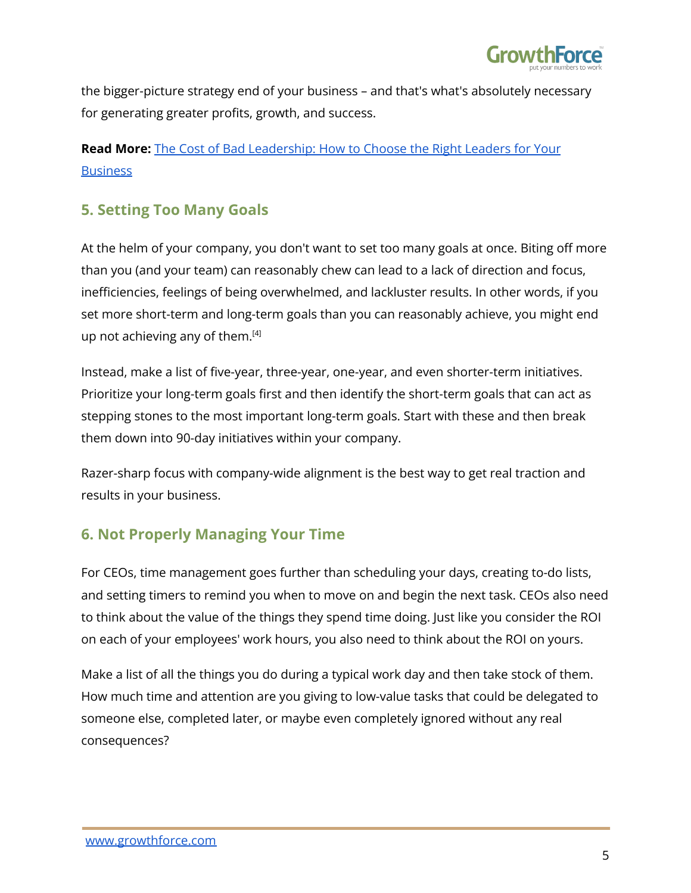

the bigger-picture strategy end of your business – and that's what's absolutely necessary for generating greater profits, growth, and success.

#### **Read More:** The Cost of Bad [Leadership:](https://www.growthforce.com/blog/the-cost-of-bad-leadership-how-to-choose-the-right-leaders-for-your-business) How to Choose the Right Leaders for Your **[Business](https://www.growthforce.com/blog/the-cost-of-bad-leadership-how-to-choose-the-right-leaders-for-your-business)**

#### **5. Setting Too Many Goals**

At the helm of your company, you don't want to set too many goals at once. Biting off more than you (and your team) can reasonably chew can lead to a lack of direction and focus, inefficiencies, feelings of being overwhelmed, and lackluster results. In other words, if you set more short-term and long-term goals than you can reasonably achieve, you might end up not achieving any of them.<sup>[4]</sup>

Instead, make a list of five-year, three-year, one-year, and even shorter-term initiatives. Prioritize your long-term goals first and then identify the short-term goals that can act as stepping stones to the most important long-term goals. Start with these and then break them down into 90-day initiatives within your company.

Razer-sharp focus with company-wide alignment is the best way to get real traction and results in your business.

### **6. Not Properly Managing Your Time**

For CEOs, time management goes further than scheduling your days, creating to-do lists, and setting timers to remind you when to move on and begin the next task. CEOs also need to think about the value of the things they spend time doing. Just like you consider the ROI on each of your employees' work hours, you also need to think about the ROI on yours.

Make a list of all the things you do during a typical work day and then take stock of them. How much time and attention are you giving to low-value tasks that could be delegated to someone else, completed later, or maybe even completely ignored without any real consequences?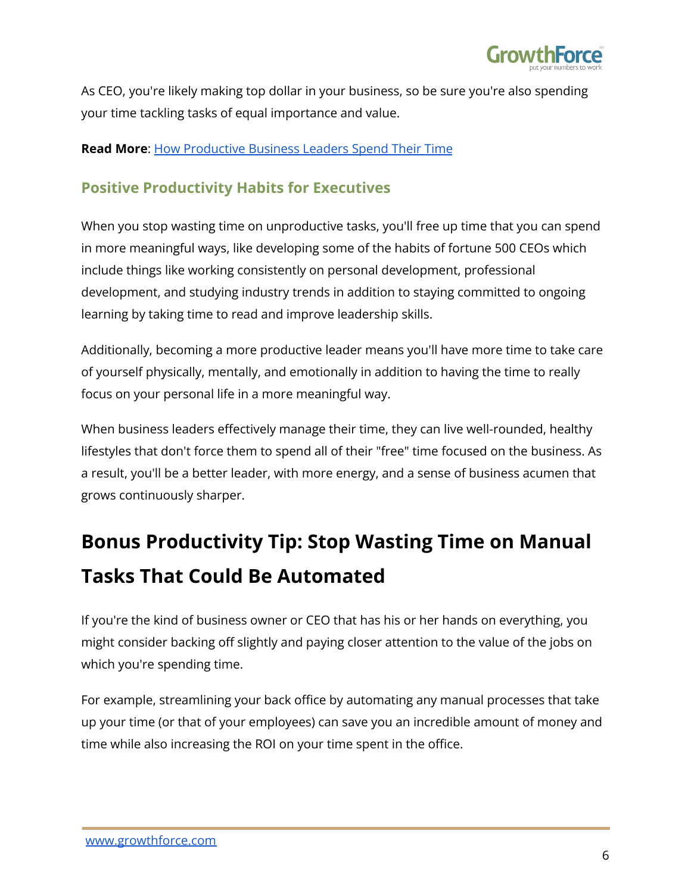

As CEO, you're likely making top dollar in your business, so be sure you're also spending your time tackling tasks of equal importance and value.

#### **Read More**: How [Productive](https://www.growthforce.com/blog/how-productive-business-leaders-spend-their-time) Business Leaders Spend Their Time

#### **Positive Productivity Habits for Executives**

When you stop wasting time on unproductive tasks, you'll free up time that you can spend in more meaningful ways, like developing some of the habits of fortune 500 CEOs which include things like working consistently on personal development, professional development, and studying industry trends in addition to staying committed to ongoing learning by taking time to read and improve leadership skills.

Additionally, becoming a more productive leader means you'll have more time to take care of yourself physically, mentally, and emotionally in addition to having the time to really focus on your personal life in a more meaningful way.

When business leaders effectively manage their time, they can live well-rounded, healthy lifestyles that don't force them to spend all of their "free" time focused on the business. As a result, you'll be a better leader, with more energy, and a sense of business acumen that grows continuously sharper.

## **Bonus Productivity Tip: Stop Wasting Time on Manual Tasks That Could Be Automated**

If you're the kind of business owner or CEO that has his or her hands on everything, you might consider backing off slightly and paying closer attention to the value of the jobs on which you're spending time.

For example, streamlining your back office by automating any manual processes that take up your time (or that of your employees) can save you an incredible amount of money and time while also increasing the ROI on your time spent in the office.